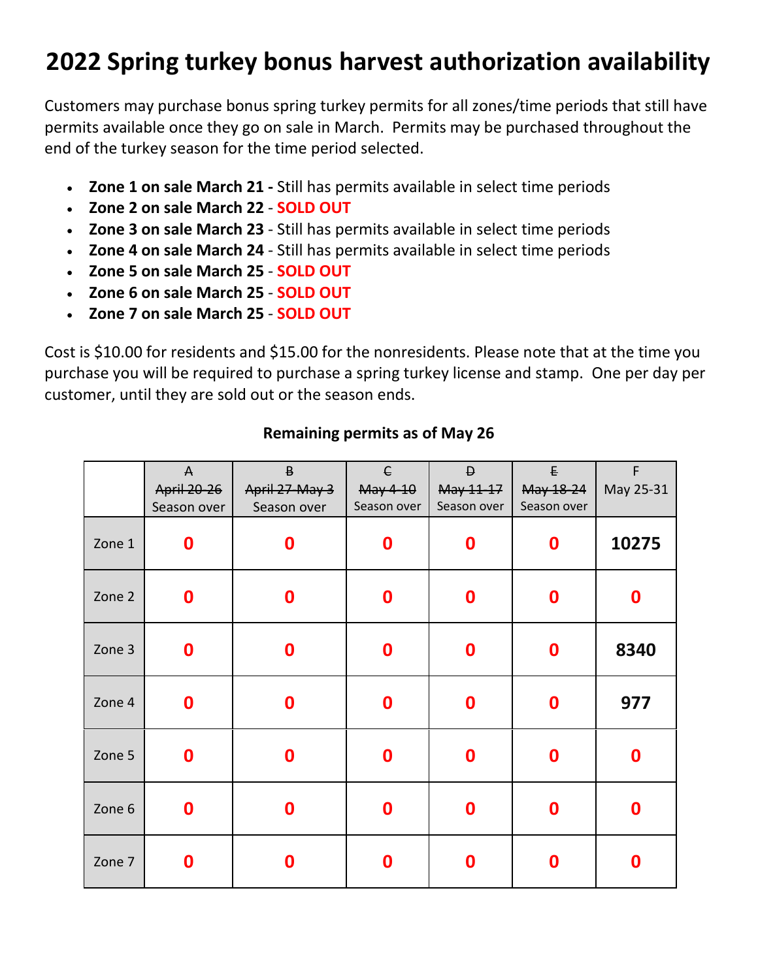## **2022 Spring turkey bonus harvest authorization availability**

Customers may purchase bonus spring turkey permits for all zones/time periods that still have permits available once they go on sale in March. Permits may be purchased throughout the end of the turkey season for the time period selected.

- **Zone 1 on sale March 21 -** Still has permits available in select time periods
- **Zone 2 on sale March 22 SOLD OUT**
- **Zone 3 on sale March 23** Still has permits available in select time periods
- **Zone 4 on sale March 24** Still has permits available in select time periods
- **Zone 5 on sale March 25 SOLD OUT**
- **Zone 6 on sale March 25 SOLD OUT**
- **Zone 7 on sale March 25 SOLD OUT**

Cost is \$10.00 for residents and \$15.00 for the nonresidents. Please note that at the time you purchase you will be required to purchase a spring turkey license and stamp. One per day per customer, until they are sold out or the season ends.

|        | $\mathsf{A}$       | $\mathsf B$      | $\epsilon$       | $\mathsf D$      | £                | $\mathsf F$      |
|--------|--------------------|------------------|------------------|------------------|------------------|------------------|
|        | <b>April 20-26</b> | April 27-May 3   | May 4-10         | May 11-17        | May 18-24        | May 25-31        |
|        | Season over        | Season over      | Season over      | Season over      | Season over      |                  |
| Zone 1 | $\boldsymbol{0}$   | $\boldsymbol{0}$ | 0                | $\boldsymbol{0}$ | $\boldsymbol{0}$ | 10275            |
| Zone 2 | $\boldsymbol{0}$   | $\boldsymbol{0}$ | $\boldsymbol{0}$ | $\boldsymbol{0}$ | $\boldsymbol{0}$ | $\boldsymbol{0}$ |
| Zone 3 | $\boldsymbol{0}$   | 0                | 0                | $\boldsymbol{0}$ | $\boldsymbol{0}$ | 8340             |
| Zone 4 | $\boldsymbol{0}$   | $\bf{0}$         | 0                | $\boldsymbol{0}$ | $\boldsymbol{0}$ | 977              |
| Zone 5 | $\boldsymbol{0}$   | $\boldsymbol{0}$ | $\boldsymbol{0}$ | $\boldsymbol{0}$ | $\boldsymbol{0}$ | $\boldsymbol{0}$ |
| Zone 6 | $\boldsymbol{0}$   | 0                | $\boldsymbol{0}$ | $\boldsymbol{0}$ | $\bf{0}$         | $\boldsymbol{0}$ |
| Zone 7 | 0                  | 0                | 0                | $\boldsymbol{0}$ | 0                | $\boldsymbol{0}$ |

#### **Remaining permits as of May 26**